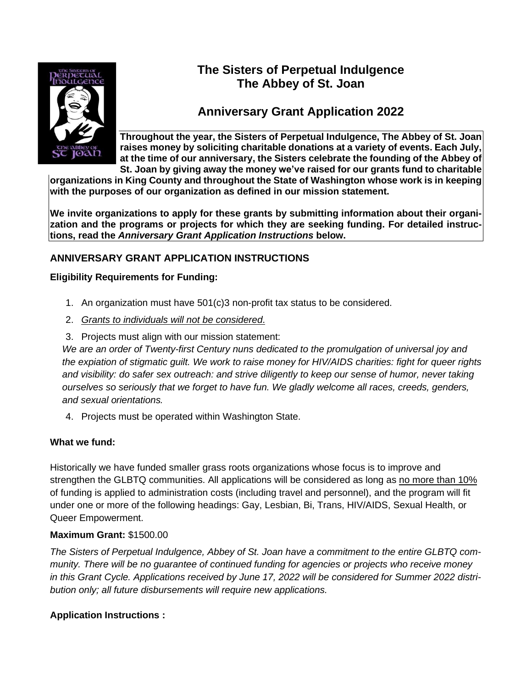

# **The Sisters of Perpetual Indulgence The Abbey of St. Joan**

# **Anniversary Grant Application 2022**

**Throughout the year, the Sisters of Perpetual Indulgence, The Abbey of St. Joan raises money by soliciting charitable donations at a variety of events. Each July, at the time of our anniversary, the Sisters celebrate the founding of the Abbey of St. Joan by giving away the money we've raised for our grants fund to charitable**

**organizations in King County and throughout the State of Washington whose work is in keeping with the purposes of our organization as defined in our mission statement.**

**We invite organizations to apply for these grants by submitting information about their organization and the programs or projects for which they are seeking funding. For detailed instructions, read the** *Anniversary Grant Application Instructions* **below.**

### **ANNIVERSARY GRANT APPLICATION INSTRUCTIONS**

### **Eligibility Requirements for Funding:**

- 1. An organization must have 501(c)3 non-profit tax status to be considered.
- 2. *Grants to individuals will not be considered*.
- 3. Projects must align with our mission statement:

*We are an order of Twenty-first Century nuns dedicated to the promulgation of universal joy and the expiation of stigmatic guilt. We work to raise money for HIV/AIDS charities: fight for queer rights and visibility: do safer sex outreach: and strive diligently to keep our sense of humor, never taking ourselves so seriously that we forget to have fun. We gladly welcome all races, creeds, genders, and sexual orientations.*

4. Projects must be operated within Washington State.

### **What we fund:**

Historically we have funded smaller grass roots organizations whose focus is to improve and strengthen the GLBTQ communities. All applications will be considered as long as no more than 10% of funding is applied to administration costs (including travel and personnel), and the program will fit under one or more of the following headings: Gay, Lesbian, Bi, Trans, HIV/AIDS, Sexual Health, or Queer Empowerment.

#### **Maximum Grant:** \$1500.00

*The Sisters of Perpetual Indulgence, Abbey of St. Joan have a commitment to the entire GLBTQ community. There will be no guarantee of continued funding for agencies or projects who receive money in this Grant Cycle. Applications received by June 17, 2022 will be considered for Summer 2022 distribution only; all future disbursements will require new applications.*

### **Application Instructions :**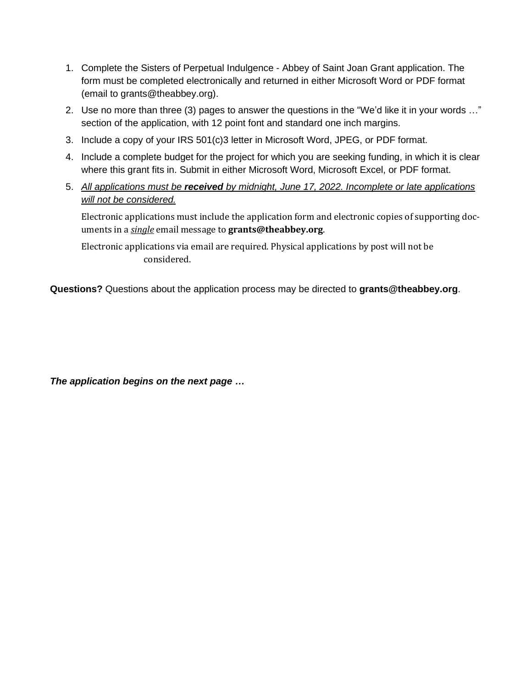- 1. Complete the Sisters of Perpetual Indulgence Abbey of Saint Joan Grant application. The form must be completed electronically and returned in either Microsoft Word or PDF format (email to grants@theabbey.org).
- 2. Use no more than three (3) pages to answer the questions in the "We'd like it in your words …" section of the application, with 12 point font and standard one inch margins.
- 3. Include a copy of your IRS 501(c)3 letter in Microsoft Word, JPEG, or PDF format.
- 4. Include a complete budget for the project for which you are seeking funding, in which it is clear where this grant fits in. Submit in either Microsoft Word, Microsoft Excel, or PDF format.
- 5. *All applications must be received by midnight, June 17, 2022. Incomplete or late applications will not be considered.*

Electronic applications must include the application form and electronic copies of supporting documents in a *single* email message to **grants@theabbey.org**.

Electronic applications via email are required. Physical applications by post will not be considered.

**Questions?** Questions about the application process may be directed to **grants@theabbey.org**.

*The application begins on the next page …*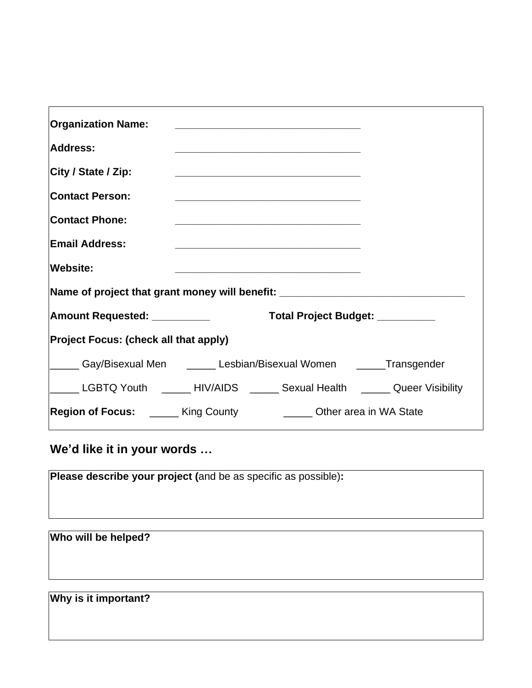| <b>Organization Name:</b><br>Address:<br>City / State / Zip:<br><b>Contact Person:</b><br><b>Contact Phone:</b><br><b>Email Address:</b> | <u> 1989 - Johann Barbara, martxa alemaniar arg</u><br><u> 1989 - Johann Stoff, amerikansk politiker (d. 1989)</u><br><u> 1989 - Johann Barbara, martxa al III-lea (h. 1989).</u><br><u> 1999 - Johann Stoff, amerikansk politiker (d. 1989)</u> |
|------------------------------------------------------------------------------------------------------------------------------------------|--------------------------------------------------------------------------------------------------------------------------------------------------------------------------------------------------------------------------------------------------|
| <b>Website:</b>                                                                                                                          | <u> 1990 - Johann John Stone, mars et al. (1990)</u>                                                                                                                                                                                             |
| Name of project that grant money will benefit: _________________________________                                                         |                                                                                                                                                                                                                                                  |
| <b>Amount Requested: __________</b>                                                                                                      | Total Project Budget: _________                                                                                                                                                                                                                  |
| <b>Project Focus: (check all that apply)</b>                                                                                             |                                                                                                                                                                                                                                                  |
|                                                                                                                                          | ______ Gay/Bisexual Men ______ Lesbian/Bisexual Women ______Transgender                                                                                                                                                                          |
|                                                                                                                                          | LGBTQ Youth ______HIV/AIDS _____ Sexual Health _____ Queer Visibility                                                                                                                                                                            |
|                                                                                                                                          | <b>Region of Focus:</b> ______ King County _________ Other area in WA State                                                                                                                                                                      |

**We'd like it in your words …**

**Please describe your project (**and be as specific as possible)**:**

**Who will be helped?**

**Why is it important?**